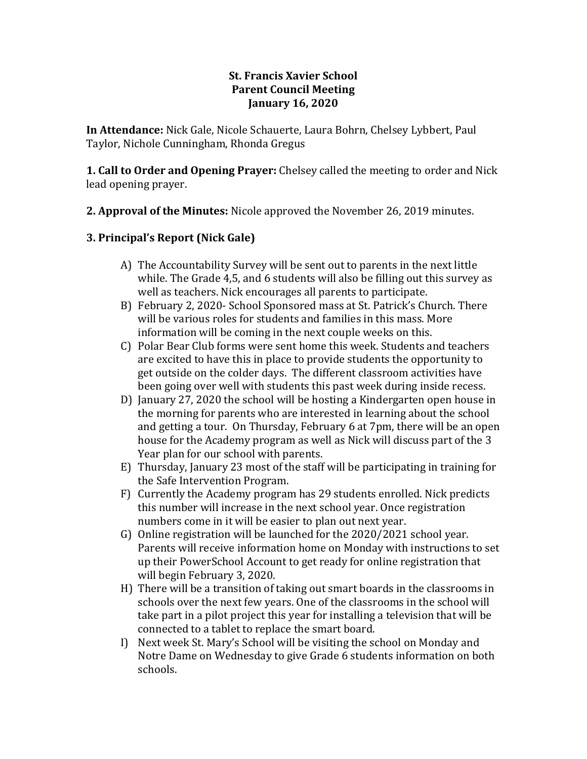### **St. Francis Xavier School Parent Council Meeting January 16, 2020**

**In Attendance:** Nick Gale, Nicole Schauerte, Laura Bohrn, Chelsey Lybbert, Paul Taylor, Nichole Cunningham, Rhonda Gregus

**1. Call to Order and Opening Prayer:** Chelsey called the meeting to order and Nick lead opening prayer.

**2. Approval of the Minutes:** Nicole approved the November 26, 2019 minutes.

# **3. Principal's Report (Nick Gale)**

- A) The Accountability Survey will be sent out to parents in the next little while. The Grade 4,5, and 6 students will also be filling out this survey as well as teachers. Nick encourages all parents to participate.
- B) February 2, 2020- School Sponsored mass at St. Patrick's Church. There will be various roles for students and families in this mass. More information will be coming in the next couple weeks on this.
- C) Polar Bear Club forms were sent home this week. Students and teachers are excited to have this in place to provide students the opportunity to get outside on the colder days. The different classroom activities have been going over well with students this past week during inside recess.
- D) January 27, 2020 the school will be hosting a Kindergarten open house in the morning for parents who are interested in learning about the school and getting a tour. On Thursday, February 6 at 7pm, there will be an open house for the Academy program as well as Nick will discuss part of the 3 Year plan for our school with parents.
- E) Thursday, January 23 most of the staff will be participating in training for the Safe Intervention Program.
- F) Currently the Academy program has 29 students enrolled. Nick predicts this number will increase in the next school year. Once registration numbers come in it will be easier to plan out next year.
- G) Online registration will be launched for the 2020/2021 school year. Parents will receive information home on Monday with instructions to set up their PowerSchool Account to get ready for online registration that will begin February 3, 2020.
- H) There will be a transition of taking out smart boards in the classrooms in schools over the next few years. One of the classrooms in the school will take part in a pilot project this year for installing a television that will be connected to a tablet to replace the smart board.
- I) Next week St. Mary's School will be visiting the school on Monday and Notre Dame on Wednesday to give Grade 6 students information on both schools.